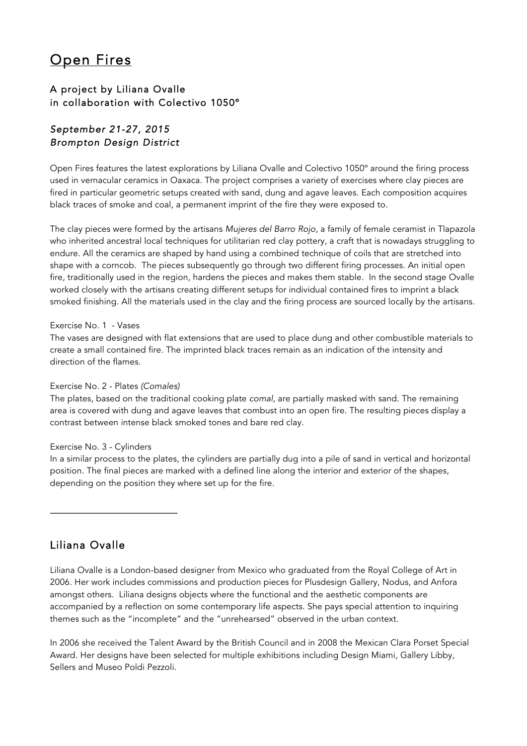# Open Fires

## A project by Liliana Ovalle in collaboration with Colectivo 1050º

## *September 21-27, 2015 Brompton Design District*

Open Fires features the latest explorations by Liliana Ovalle and Colectivo 1050º around the firing process used in vernacular ceramics in Oaxaca. The project comprises a variety of exercises where clay pieces are fired in particular geometric setups created with sand, dung and agave leaves. Each composition acquires black traces of smoke and coal, a permanent imprint of the fire they were exposed to.

The clay pieces were formed by the artisans *Mujeres del Barro Rojo*, a family of female ceramist in Tlapazola who inherited ancestral local techniques for utilitarian red clay pottery, a craft that is nowadays struggling to endure. All the ceramics are shaped by hand using a combined technique of coils that are stretched into shape with a corncob. The pieces subsequently go through two different firing processes. An initial open fire, traditionally used in the region, hardens the pieces and makes them stable. In the second stage Ovalle worked closely with the artisans creating different setups for individual contained fires to imprint a black smoked finishing. All the materials used in the clay and the firing process are sourced locally by the artisans.

### Exercise No. 1 - Vases

The vases are designed with flat extensions that are used to place dung and other combustible materials to create a small contained fire. The imprinted black traces remain as an indication of the intensity and direction of the flames.

### Exercise No. 2 - Plates *(Comales)*

The plates, based on the traditional cooking plate *comal*, are partially masked with sand. The remaining area is covered with dung and agave leaves that combust into an open fire. The resulting pieces display a contrast between intense black smoked tones and bare red clay.

#### Exercise No. 3 - Cylinders

In a similar process to the plates, the cylinders are partially dug into a pile of sand in vertical and horizontal position. The final pieces are marked with a defined line along the interior and exterior of the shapes, depending on the position they where set up for the fire.

## Liliana Ovalle

Liliana Ovalle is a London-based designer from Mexico who graduated from the Royal College of Art in 2006. Her work includes commissions and production pieces for Plusdesign Gallery, Nodus, and Anfora amongst others. Liliana designs objects where the functional and the aesthetic components are accompanied by a reflection on some contemporary life aspects. She pays special attention to inquiring themes such as the "incomplete" and the "unrehearsed" observed in the urban context.

In 2006 she received the Talent Award by the British Council and in 2008 the Mexican Clara Porset Special Award. Her designs have been selected for multiple exhibitions including Design Miami, Gallery Libby, Sellers and Museo Poldi Pezzoli.